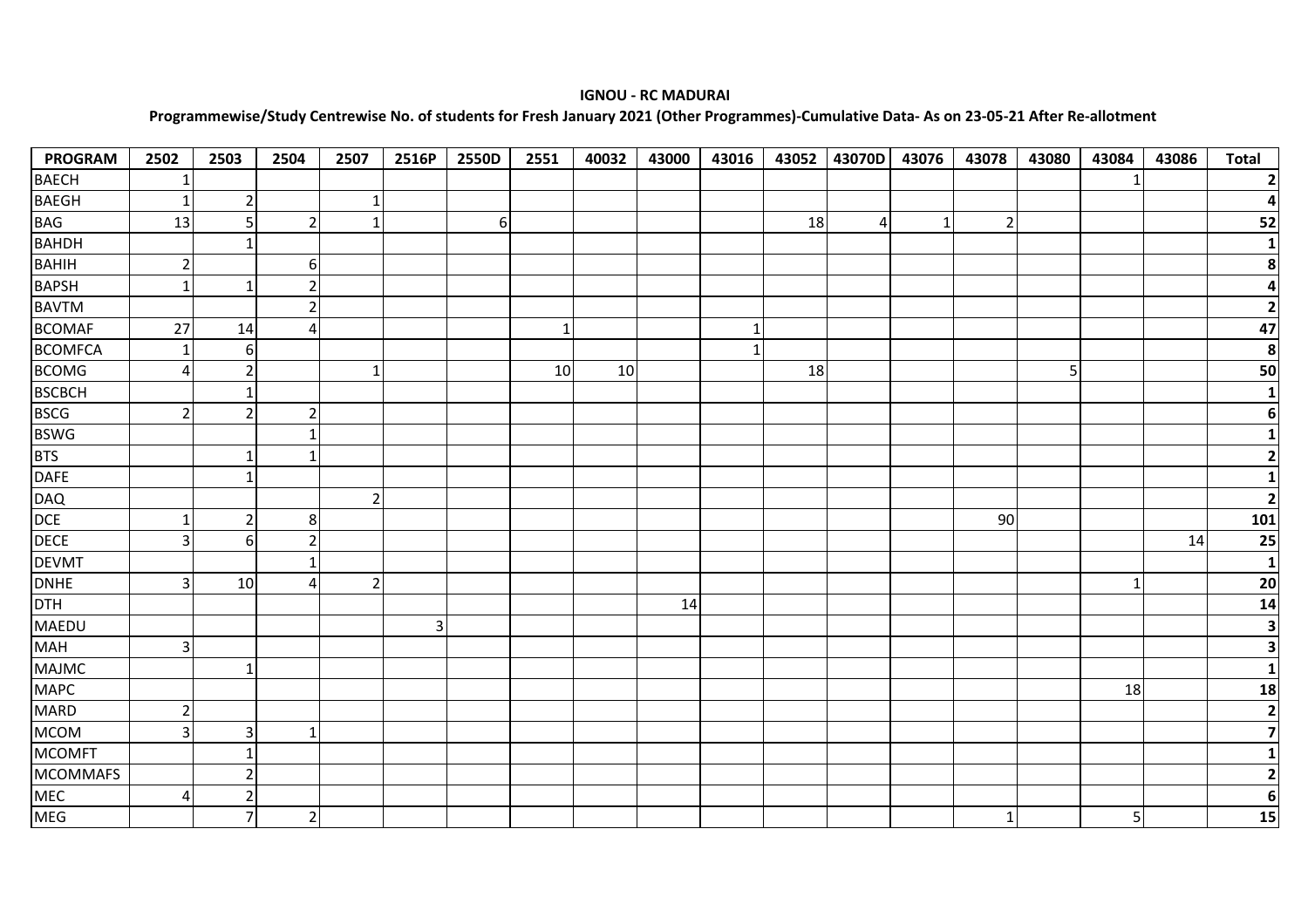## **IGNOU - RC MADURAI**

## **Programmewise/Study Centrewise No. of students for Fresh January 2021 (Other Programmes)-Cumulative Data- As on 23-05-21 After Re-allotment**

| <b>PROGRAM</b>  | 2502           | 2503           | 2504           | 2507           | 2516P | 2550D           | 2551 | 40032 | 43000 | 43016        | 43052 | 43070D         | 43076       | 43078          | 43080          | 43084 | 43086 | <b>Total</b>            |
|-----------------|----------------|----------------|----------------|----------------|-------|-----------------|------|-------|-------|--------------|-------|----------------|-------------|----------------|----------------|-------|-------|-------------------------|
| <b>BAECH</b>    | 1              |                |                |                |       |                 |      |       |       |              |       |                |             |                |                |       |       | $\mathbf{2}$            |
| <b>BAEGH</b>    | $\mathbf{1}$   | $\overline{2}$ |                | 1              |       |                 |      |       |       |              |       |                |             |                |                |       |       | $\mathbf{a}$            |
| <b>BAG</b>      | 13             | 5 <sup>1</sup> | $\overline{2}$ | $\mathbf{1}$   |       | $6\phantom{1}6$ |      |       |       |              | 18    | $\overline{4}$ | $\mathbf 1$ | $\overline{2}$ |                |       |       | 52                      |
| <b>BAHDH</b>    |                |                |                |                |       |                 |      |       |       |              |       |                |             |                |                |       |       | $\mathbf{1}$            |
| <b>BAHIH</b>    | $\overline{2}$ |                | 6              |                |       |                 |      |       |       |              |       |                |             |                |                |       |       | 8                       |
| <b>BAPSH</b>    | $\mathbf{1}$   |                | 2              |                |       |                 |      |       |       |              |       |                |             |                |                |       |       | $\overline{\mathbf{4}}$ |
| <b>BAVTM</b>    |                |                | $\overline{2}$ |                |       |                 |      |       |       |              |       |                |             |                |                |       |       | $\overline{2}$          |
| <b>BCOMAF</b>   | 27             | 14             | $\overline{4}$ |                |       |                 | 1    |       |       | 1            |       |                |             |                |                |       |       | 47                      |
| <b>BCOMFCA</b>  | $\mathbf{1}$   | 6              |                |                |       |                 |      |       |       | $\mathbf{1}$ |       |                |             |                |                |       |       | 8                       |
| <b>BCOMG</b>    | $\overline{4}$ | $\overline{2}$ |                | $\mathbf{1}$   |       |                 | 10   | 10    |       |              | 18    |                |             |                | 5 <sup>1</sup> |       |       | 50                      |
| <b>BSCBCH</b>   |                |                |                |                |       |                 |      |       |       |              |       |                |             |                |                |       |       | $\mathbf 1$             |
| <b>BSCG</b>     | $\overline{2}$ | $\overline{2}$ | 2              |                |       |                 |      |       |       |              |       |                |             |                |                |       |       | $\boldsymbol{6}$        |
| <b>BSWG</b>     |                |                | $\mathbf{1}$   |                |       |                 |      |       |       |              |       |                |             |                |                |       |       | $\mathbf{1}$            |
| <b>BTS</b>      |                |                | 1              |                |       |                 |      |       |       |              |       |                |             |                |                |       |       | $\overline{2}$          |
| <b>DAFE</b>     |                |                |                |                |       |                 |      |       |       |              |       |                |             |                |                |       |       | $\mathbf{1}$            |
| <b>DAQ</b>      |                |                |                | $\overline{2}$ |       |                 |      |       |       |              |       |                |             |                |                |       |       | $\mathbf{2}$            |
| <b>DCE</b>      | $\mathbf{1}$   | $\overline{2}$ | 8              |                |       |                 |      |       |       |              |       |                |             | 90             |                |       |       | 101                     |
| <b>DECE</b>     | 3              | 6              | $\overline{2}$ |                |       |                 |      |       |       |              |       |                |             |                |                |       | 14    | 25                      |
| <b>DEVMT</b>    |                |                | $\mathbf{1}$   |                |       |                 |      |       |       |              |       |                |             |                |                |       |       | $\mathbf{1}$            |
| <b>DNHE</b>     | $\overline{3}$ | 10             | $\Delta$       | $\overline{2}$ |       |                 |      |       |       |              |       |                |             |                |                | -1    |       | 20                      |
| <b>DTH</b>      |                |                |                |                |       |                 |      |       | 14    |              |       |                |             |                |                |       |       | 14                      |
| <b>MAEDU</b>    |                |                |                |                | 3     |                 |      |       |       |              |       |                |             |                |                |       |       | $\overline{\mathbf{3}}$ |
| <b>MAH</b>      | $\overline{3}$ |                |                |                |       |                 |      |       |       |              |       |                |             |                |                |       |       | $\overline{\mathbf{3}}$ |
| <b>MAJMC</b>    |                |                |                |                |       |                 |      |       |       |              |       |                |             |                |                |       |       | $\mathbf{1}$            |
| <b>MAPC</b>     |                |                |                |                |       |                 |      |       |       |              |       |                |             |                |                | 18    |       | 18                      |
| <b>MARD</b>     | $\overline{2}$ |                |                |                |       |                 |      |       |       |              |       |                |             |                |                |       |       | $\mathbf{2}$            |
| <b>MCOM</b>     | $\overline{3}$ | 3 <sup>1</sup> | $\mathbf{1}$   |                |       |                 |      |       |       |              |       |                |             |                |                |       |       | $\overline{\mathbf{z}}$ |
| <b>MCOMFT</b>   |                |                |                |                |       |                 |      |       |       |              |       |                |             |                |                |       |       | $\mathbf{1}$            |
| <b>MCOMMAFS</b> |                | $\overline{2}$ |                |                |       |                 |      |       |       |              |       |                |             |                |                |       |       | $\mathbf{2}$            |
| MEC             | 4              | 2              |                |                |       |                 |      |       |       |              |       |                |             |                |                |       |       | 6                       |
| MEG             |                | 7              | $\overline{2}$ |                |       |                 |      |       |       |              |       |                |             | $\mathbf{1}$   |                | 5     |       | 15                      |